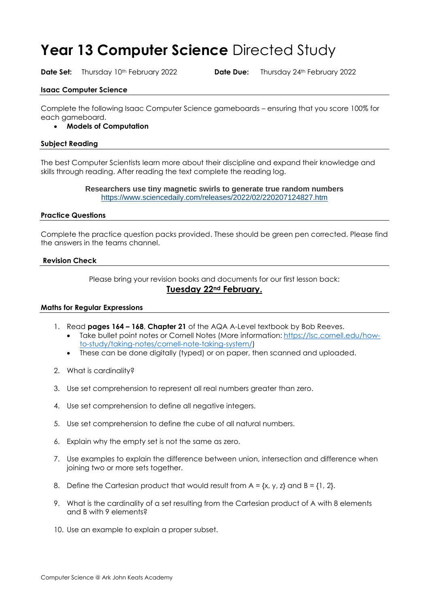# **Year 13 Computer Science** Directed Study

**Date Set:** Thursday 10<sup>th</sup> February 2022 **Date Due:** Thursday 24<sup>th</sup> February 2022

## **Isaac Computer Science**

Complete the following Isaac Computer Science gameboards – ensuring that you score 100% for each gameboard.

# • **Models of Computation**

## **Subject Reading**

The best Computer Scientists learn more about their discipline and expand their knowledge and skills through reading. After reading the text complete the reading log.

#### **Researchers use tiny magnetic swirls to generate true random numbers** <https://www.sciencedaily.com/releases/2022/02/220207124827.htm>

## **Practice Questions**

Complete the practice question packs provided. These should be green pen corrected. Please find the answers in the teams channel.

#### **Revision Check**

Please bring your revision books and documents for our first lesson back: **Tuesday 22nd February.**

#### **Maths for Regular Expressions**

- 1. Read **pages 164 – 168**, **Chapter 21** of the AQA A-Level textbook by Bob Reeves.
	- Take bullet point notes or Cornell Notes (More information: [https://lsc.cornell.edu/how](https://lsc.cornell.edu/how-to-study/taking-notes/cornell-note-taking-system/)[to-study/taking-notes/cornell-note-taking-system/\)](https://lsc.cornell.edu/how-to-study/taking-notes/cornell-note-taking-system/)
	- These can be done digitally (typed) or on paper, then scanned and uploaded.
- 2. What is cardinality?
- 3. Use set comprehension to represent all real numbers greater than zero.
- 4. Use set comprehension to define all negative integers.
- 5. Use set comprehension to define the cube of all natural numbers.
- 6. Explain why the empty set is not the same as zero.
- 7. Use examples to explain the difference between union, intersection and difference when joining two or more sets together.
- 8. Define the Cartesian product that would result from  $A = \{x, y, z\}$  and  $B = \{1, 2\}$ .
- 9. What is the cardinality of a set resulting from the Cartesian product of A with 8 elements and B with 9 elements?
- 10. Use an example to explain a proper subset.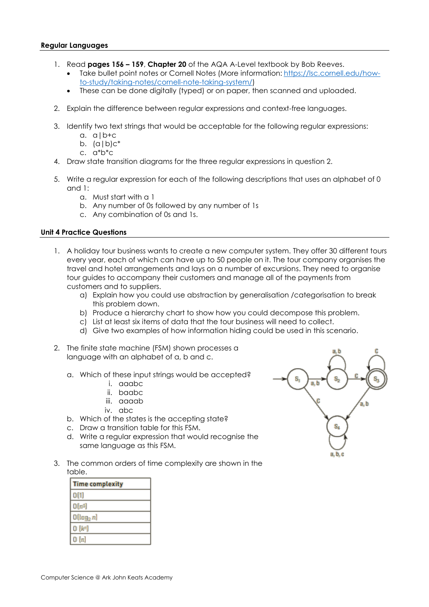#### **Regular Languages**

- 1. Read **pages 156 – 159**, **Chapter 20** of the AQA A-Level textbook by Bob Reeves.
	- Take bullet point notes or Cornell Notes (More information: [https://lsc.cornell.edu/how](https://lsc.cornell.edu/how-to-study/taking-notes/cornell-note-taking-system/)[to-study/taking-notes/cornell-note-taking-system/\)](https://lsc.cornell.edu/how-to-study/taking-notes/cornell-note-taking-system/)
	- These can be done digitally (typed) or on paper, then scanned and uploaded.
- 2. Explain the difference between regular expressions and context-free languages.
- 3. Identify two text strings that would be acceptable for the following regular expressions:
	- a. a|b+c
	- b.  $(a|b)c^*$
	- c. a\*b\*c
- 4. Draw state transition diagrams for the three regular expressions in question 2.
- 5. Write a regular expression for each of the following descriptions that uses an alphabet of 0 and 1:
	- a. Must start with a 1
	- b. Any number of 0s followed by any number of 1s
	- c. Any combination of 0s and 1s.

## **Unit 4 Practice Questions**

- 1. A holiday tour business wants to create a new computer system. They offer 30 different tours every year, each of which can have up to 50 people on it. The tour company organises the travel and hotel arrangements and lays on a number of excursions. They need to organise tour guides to accompany their customers and manage all of the payments from customers and to suppliers.
	- a) Explain how you could use abstraction by generalisation /categorisation to break this problem down.
	- b) Produce a hierarchy chart to show how you could decompose this problem.
	- c) List at least six items of data that the tour business will need to collect.
	- d) Give two examples of how information hiding could be used in this scenario.
- 2. The finite state machine (FSM) shown processes a language with an alphabet of a, b and c.
	- a. Which of these input strings would be accepted?
		- i. aaabc
		- ii. baabc
		- iii. aaaab
		- iv. abc
	- b. Which of the states is the accepting state?
	- c. Draw a transition table for this FSM.
	- d. Write a regular expression that would recognise the same language as this FSM.
- 3. The common orders of time complexity are shown in the table.

| <b>Time complexity</b> |
|------------------------|
| O(1)                   |
| $O(n^2)$               |
| $O(log_2 n)$           |
| $O(k^n)$               |
| $0 \ln$                |

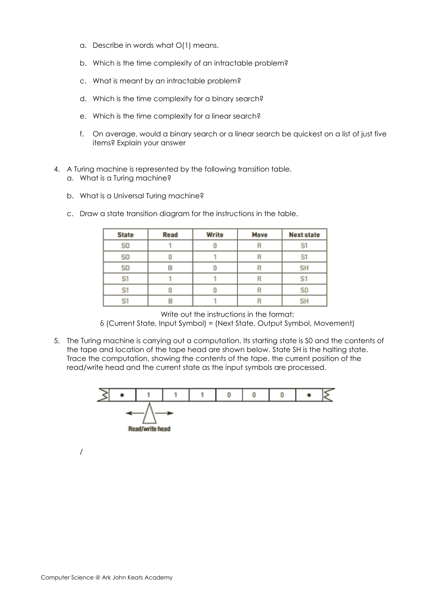- a. Describe in words what O(1) means.
- b. Which is the time complexity of an intractable problem?
- c. What is meant by an intractable problem?
- d. Which is the time complexity for a binary search?
- e. Which is the time complexity for a linear search?
- f. On average, would a binary search or a linear search be quickest on a list of just five items? Explain your answer
- 4. A Turing machine is represented by the following transition table.
	- a. What is a Turing machine?
	- b. What is a Universal Turing machine?
	- c. Draw a state transition diagram for the instructions in the table.

| <b>State</b>   | <b>Read</b> | Write | Move | <b>Next state</b> |
|----------------|-------------|-------|------|-------------------|
| S <sub>0</sub> |             |       |      |                   |
| S <sub>0</sub> |             |       |      | S                 |
| S <sub>0</sub> |             |       |      | <b>SH</b>         |
|                |             |       |      | S1                |
|                |             |       |      | S <sub>0</sub>    |
|                | E           |       |      | <b>SH</b>         |

Write out the instructions in the format:

δ (Current State, Input Symbol) = (Next State, Output Symbol, Movement)

5. The Turing machine is carrying out a computation. Its starting state is S0 and the contents of the tape and location of the tape head are shown below. State SH is the halting state. Trace the computation, showing the contents of the tape, the current position of the read/write head and the current state as the input symbols are processed.



/